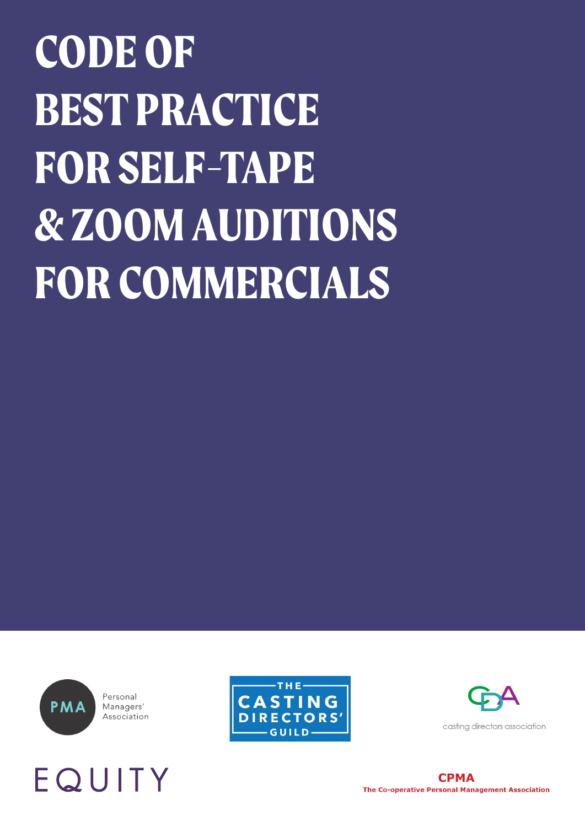## **CODE OF BEST PRACTICE FOR SELF-TAPE & ZOOM AUDITIONS FOR COMMERCIALS**



Personal Managers' Association







casting directors association

**CPMA** The Co-operative Personal Management Association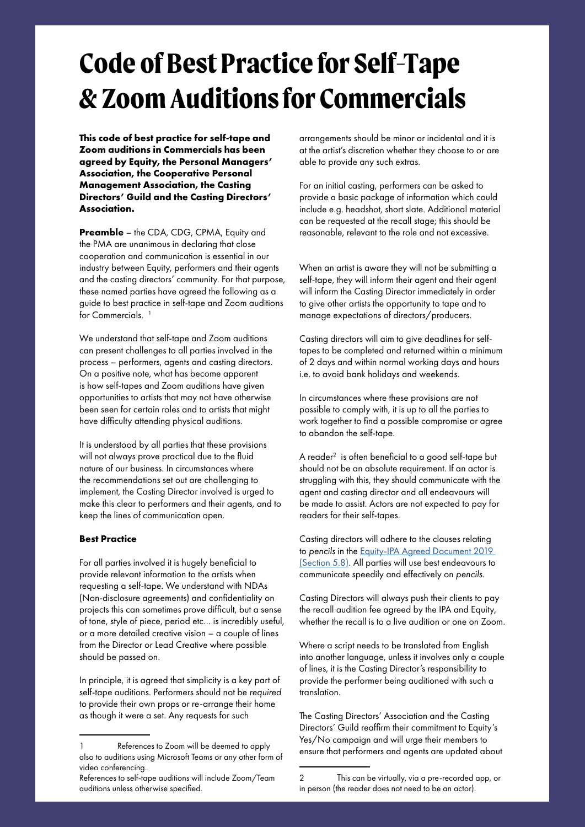## **Code of Best Practice for Self-Tape & Zoom Auditions for Commercials**

**This code of best practice for self-tape and Zoom auditions in Commercials has been agreed by Equity, the Personal Managers' Association, the Cooperative Personal Management Association, the Casting Directors' Guild and the Casting Directors' Association.**

**Preamble** – the CDA, CDG, CPMA, Equity and the PMA are unanimous in declaring that close cooperation and communication is essential in our industry between Equity, performers and their agents and the casting directors' community. For that purpose, these named parties have agreed the following as a guide to best practice in self-tape and Zoom auditions for Commercials.<sup>1</sup>

We understand that self-tape and Zoom auditions can present challenges to all parties involved in the process – performers, agents and casting directors. On a positive note, what has become apparent is how self-tapes and Zoom auditions have given opportunities to artists that may not have otherwise been seen for certain roles and to artists that might have difficulty attending physical auditions.

It is understood by all parties that these provisions will not always prove practical due to the fluid nature of our business. In circumstances where the recommendations set out are challenging to implement, the Casting Director involved is urged to make this clear to performers and their agents, and to keep the lines of communication open.

## **Best Practice**

For all parties involved it is hugely beneficial to provide relevant information to the artists when requesting a self-tape. We understand with NDAs (Non-disclosure agreements) and confidentiality on projects this can sometimes prove difficult, but a sense of tone, style of piece, period etc… is incredibly useful, or a more detailed creative vision – a couple of lines from the Director or Lead Creative where possible should be passed on.

In principle, it is agreed that simplicity is a key part of self-tape auditions. Performers should not be *required* to provide their own props or re-arrange their home as though it were a set. Any requests for such

arrangements should be minor or incidental and it is at the artist's discretion whether they choose to or are able to provide any such extras.

For an initial casting, performers can be asked to provide a basic package of information which could include e.g. headshot, short slate. Additional material can be requested at the recall stage; this should be reasonable, relevant to the role and not excessive.

When an artist is aware they will not be submitting a self-tape, they will inform their agent and their agent will inform the Casting Director immediately in order to give other artists the opportunity to tape and to manage expectations of directors/producers.

Casting directors will aim to give deadlines for selftapes to be completed and returned within a minimum of 2 days and within normal working days and hours i.e. to avoid bank holidays and weekends.

In circumstances where these provisions are not possible to comply with, it is up to all the parties to work together to find a possible compromise or agree to abandon the self-tape.

A reader<sup>2</sup> is often beneficial to a good self-tape but should not be an absolute requirement. If an actor is struggling with this, they should communicate with the agent and casting director and all endeavours will be made to assist. Actors are not expected to pay for readers for their self-tapes.

Casting directors will adhere to the clauses relating to *pencils* in the [Equity-IPA Agreed Document 2019](https://www.equity.org.uk/login/?returnurl=%2fmedia%2f6037%2fagreed-document-uk-tv-commercials.pdf)  [\(Section 5.8\).](https://www.equity.org.uk/login/?returnurl=%2fmedia%2f6037%2fagreed-document-uk-tv-commercials.pdf) All parties will use best endeavours to communicate speedily and effectively on *pencils*.

Casting Directors will always push their clients to pay the recall audition fee agreed by the IPA and Equity, whether the recall is to a live audition or one on Zoom.

Where a script needs to be translated from English into another language, unless it involves only a couple of lines, it is the Casting Director's responsibility to provide the performer being auditioned with such a translation.

The Casting Directors' Association and the Casting Directors' Guild reaffirm their commitment to Equity's Yes/No campaign and will urge their members to ensure that performers and agents are updated about

<sup>1</sup> References to Zoom will be deemed to apply also to auditions using Microsoft Teams or any other form of video conferencing.

References to self-tape auditions will include Zoom/Team auditions unless otherwise specified.

<sup>2</sup> This can be virtually, via a pre-recorded app, or in person (the reader does not need to be an actor).